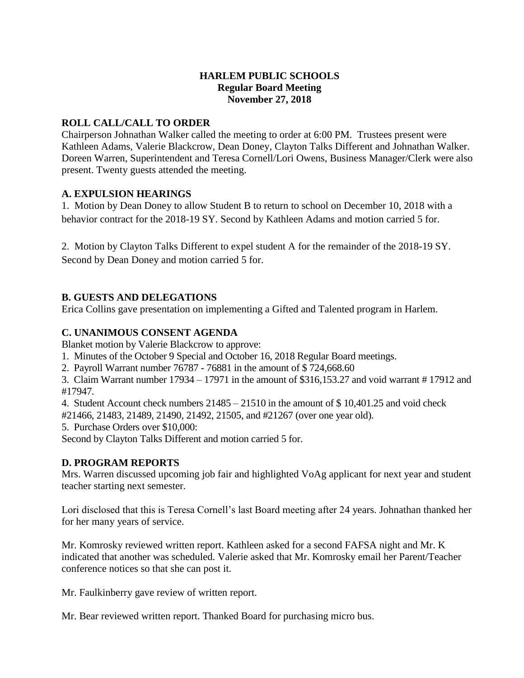## **HARLEM PUBLIC SCHOOLS Regular Board Meeting November 27, 2018**

## **ROLL CALL/CALL TO ORDER**

Chairperson Johnathan Walker called the meeting to order at 6:00 PM. Trustees present were Kathleen Adams, Valerie Blackcrow, Dean Doney, Clayton Talks Different and Johnathan Walker. Doreen Warren, Superintendent and Teresa Cornell/Lori Owens, Business Manager/Clerk were also present. Twenty guests attended the meeting.

#### **A. EXPULSION HEARINGS**

1. Motion by Dean Doney to allow Student B to return to school on December 10, 2018 with a behavior contract for the 2018-19 SY. Second by Kathleen Adams and motion carried 5 for.

2. Motion by Clayton Talks Different to expel student A for the remainder of the 2018-19 SY. Second by Dean Doney and motion carried 5 for.

## **B. GUESTS AND DELEGATIONS**

Erica Collins gave presentation on implementing a Gifted and Talented program in Harlem.

## **C. UNANIMOUS CONSENT AGENDA**

Blanket motion by Valerie Blackcrow to approve:

1. Minutes of the October 9 Special and October 16, 2018 Regular Board meetings.

2. Payroll Warrant number 76787 - 76881 in the amount of \$ 724,668.60

3. Claim Warrant number 17934 – 17971 in the amount of \$316,153.27 and void warrant # 17912 and #17947.

4. Student Account check numbers 21485 – 21510 in the amount of \$ 10,401.25 and void check #21466, 21483, 21489, 21490, 21492, 21505, and #21267 (over one year old).

5. Purchase Orders over \$10,000:

Second by Clayton Talks Different and motion carried 5 for.

## **D. PROGRAM REPORTS**

Mrs. Warren discussed upcoming job fair and highlighted VoAg applicant for next year and student teacher starting next semester.

Lori disclosed that this is Teresa Cornell's last Board meeting after 24 years. Johnathan thanked her for her many years of service.

Mr. Komrosky reviewed written report. Kathleen asked for a second FAFSA night and Mr. K indicated that another was scheduled. Valerie asked that Mr. Komrosky email her Parent/Teacher conference notices so that she can post it.

Mr. Faulkinberry gave review of written report.

Mr. Bear reviewed written report. Thanked Board for purchasing micro bus.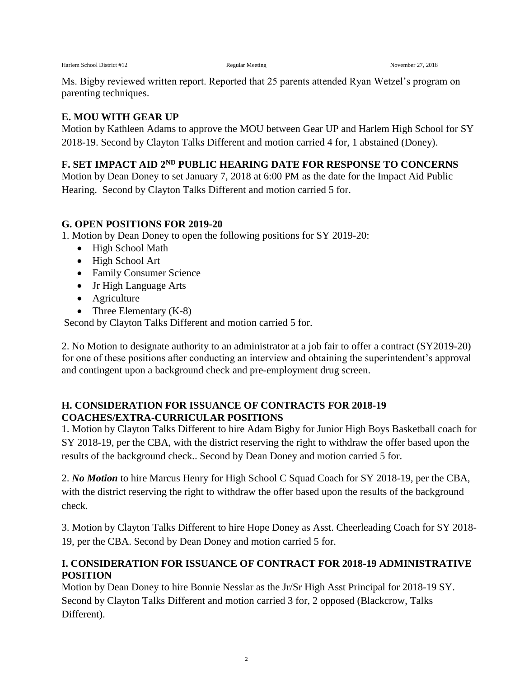Ms. Bigby reviewed written report. Reported that 25 parents attended Ryan Wetzel's program on parenting techniques.

#### **E. MOU WITH GEAR UP**

Motion by Kathleen Adams to approve the MOU between Gear UP and Harlem High School for SY 2018-19. Second by Clayton Talks Different and motion carried 4 for, 1 abstained (Doney).

## **F. SET IMPACT AID 2ND PUBLIC HEARING DATE FOR RESPONSE TO CONCERNS**

Motion by Dean Doney to set January 7, 2018 at 6:00 PM as the date for the Impact Aid Public Hearing. Second by Clayton Talks Different and motion carried 5 for.

## **G. OPEN POSITIONS FOR 2019-20**

1. Motion by Dean Doney to open the following positions for SY 2019-20:

- High School Math
- High School Art
- Family Consumer Science
- Jr High Language Arts
- Agriculture
- Three Elementary  $(K-8)$

Second by Clayton Talks Different and motion carried 5 for.

2. No Motion to designate authority to an administrator at a job fair to offer a contract (SY2019-20) for one of these positions after conducting an interview and obtaining the superintendent's approval and contingent upon a background check and pre-employment drug screen.

## **H. CONSIDERATION FOR ISSUANCE OF CONTRACTS FOR 2018-19 COACHES/EXTRA-CURRICULAR POSITIONS**

1. Motion by Clayton Talks Different to hire Adam Bigby for Junior High Boys Basketball coach for SY 2018-19, per the CBA, with the district reserving the right to withdraw the offer based upon the results of the background check.. Second by Dean Doney and motion carried 5 for.

2. *No Motion* to hire Marcus Henry for High School C Squad Coach for SY 2018-19, per the CBA, with the district reserving the right to withdraw the offer based upon the results of the background check.

3. Motion by Clayton Talks Different to hire Hope Doney as Asst. Cheerleading Coach for SY 2018- 19, per the CBA. Second by Dean Doney and motion carried 5 for.

# **I. CONSIDERATION FOR ISSUANCE OF CONTRACT FOR 2018-19 ADMINISTRATIVE POSITION**

Motion by Dean Doney to hire Bonnie Nesslar as the Jr/Sr High Asst Principal for 2018-19 SY. Second by Clayton Talks Different and motion carried 3 for, 2 opposed (Blackcrow, Talks Different).